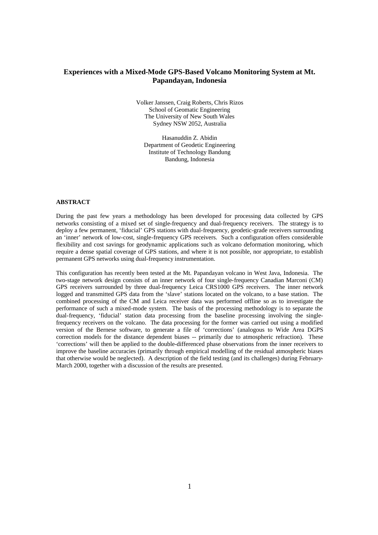# **Experiences with a Mixed-Mode GPS-Based Volcano Monitoring System at Mt. Papandayan, Indonesia**

Volker Janssen, Craig Roberts, Chris Rizos School of Geomatic Engineering The University of New South Wales Sydney NSW 2052, Australia

Hasanuddin Z. Abidin Department of Geodetic Engineering Institute of Technology Bandung Bandung, Indonesia

# **ABSTRACT**

During the past few years a methodology has been developed for processing data collected by GPS networks consisting of a mixed set of single-frequency and dual-frequency receivers. The strategy is to deploy a few permanent, 'fiducial' GPS stations with dual-frequency, geodetic-grade receivers surrounding an 'inner' network of low-cost, single-frequency GPS receivers. Such a configuration offers considerable flexibility and cost savings for geodynamic applications such as volcano deformation monitoring, which require a dense spatial coverage of GPS stations, and where it is not possible, nor appropriate, to establish permanent GPS networks using dual-frequency instrumentation.

This configuration has recently been tested at the Mt. Papandayan volcano in West Java, Indonesia. The two-stage network design consists of an inner network of four single-frequency Canadian Marconi (CM) GPS receivers surrounded by three dual-frequency Leica CRS1000 GPS receivers. The inner network logged and transmitted GPS data from the 'slave' stations located on the volcano, to a base station. The combined processing of the CM and Leica receiver data was performed offline so as to investigate the performance of such a mixed-mode system. The basis of the processing methodology is to separate the dual-frequency, 'fiducial' station data processing from the baseline processing involving the singlefrequency receivers on the volcano. The data processing for the former was carried out using a modified version of the Bernese software, to generate a file of 'corrections' (analogous to Wide Area DGPS correction models for the distance dependent biases -- primarily due to atmospheric refraction). These 'corrections' will then be applied to the double-differenced phase observations from the inner receivers to improve the baseline accuracies (primarily through empirical modelling of the residual atmospheric biases that otherwise would be neglected). A description of the field testing (and its challenges) during February-March 2000, together with a discussion of the results are presented.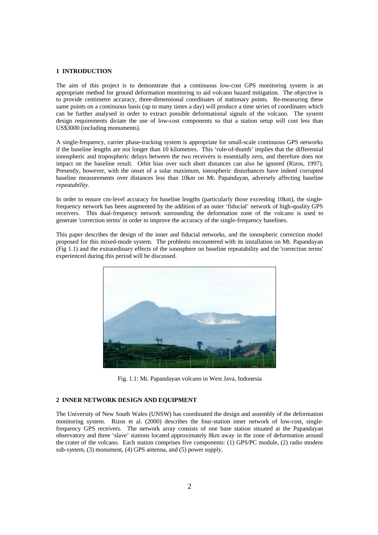#### **1 INTRODUCTION**

The aim of this project is to demonstrate that a continuous low-cost GPS monitoring system is an appropriate method for ground deformation monitoring to aid volcano hazard mitigation. The objective is to provide centimetre accuracy, three-dimensional coordinates of stationary points. Re-measuring these same points on a continuous basis (up to many times a day) will produce a time series of coordinates which can be further analysed in order to extract possible deformational signals of the volcano. The system design requirements dictate the use of low-cost components so that a station setup will cost less than US\$3000 (including monuments).

A single-frequency, carrier phase-tracking system is appropriate for small-scale continuous GPS networks if the baseline lengths are not longer than 10 kilometres. This 'rule-of-thumb' implies that the differential ionospheric and tropospheric delays between the two receivers is essentially zero, and therefore does not impact on the baseline result. Orbit bias over such short distances can also be ignored (Rizos, 1997). Presently, however, with the onset of a solar maximum, ionospheric disturbances have indeed corrupted baseline measurements over distances less than 10km on Mt. Papandayan, adversely affecting baseline *repeatability*.

In order to ensure cm-level accuracy for baseline lengths (particularly those exceeding 10km), the singlefrequency network has been augmented by the addition of an outer 'fiducial' network of high-quality GPS receivers. This dual-frequency network surrounding the deformation zone of the volcano is used to generate 'correction terms' in order to improve the accuracy of the single-frequency baselines.

This paper describes the design of the inner and fiducial networks, and the ionospheric correction model proposed for this mixed-mode system. The problems encountered with its installation on Mt. Papandayan (Fig 1.1) and the extraordinary effects of the ionosphere on baseline repeatability and the 'correction terms' experienced during this period will be discussed.



Fig. 1.1: Mt. Papandayan volcano in West Java, Indonesia

# **2 INNER NETWORK DESIGN AND EQUIPMENT**

The University of New South Wales (UNSW) has coordinated the design and assembly of the deformation monitoring system. Rizos et al. (2000) describes the four-station inner network of low-cost, singlefrequency GPS receivers. The network array consists of one base station situated at the Papandayan observatory and three 'slave' stations located approximately 8km away in the zone of deformation around the crater of the volcano. Each station comprises five components: (1) GPS/PC module, (2) radio modem sub-system, (3) monument, (4) GPS antenna, and (5) power supply.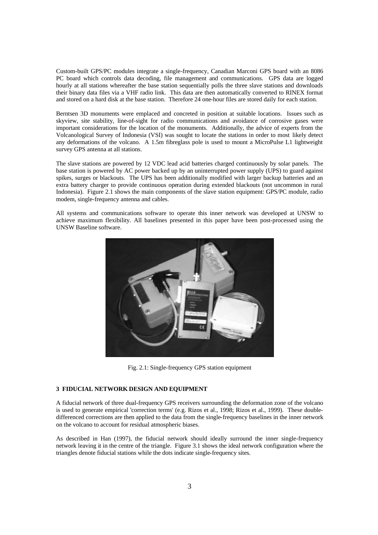Custom-built GPS/PC modules integrate a single-frequency, Canadian Marconi GPS board with an 8086 PC board which controls data decoding, file management and communications. GPS data are logged hourly at all stations whereafter the base station sequentially polls the three slave stations and downloads their binary data files via a VHF radio link. This data are then automatically converted to RINEX format and stored on a hard disk at the base station. Therefore 24 one-hour files are stored daily for each station.

Berntsen 3D monuments were emplaced and concreted in position at suitable locations. Issues such as skyview, site stability, line-of-sight for radio communications and avoidance of corrosive gases were important considerations for the location of the monuments. Additionally, the advice of experts from the Volcanological Survey of Indonesia (VSI) was sought to locate the stations in order to most likely detect any deformations of the volcano. A 1.5m fibreglass pole is used to mount a MicroPulse L1 lightweight survey GPS antenna at all stations.

The slave stations are powered by 12 VDC lead acid batteries charged continuously by solar panels. The base station is powered by AC power backed up by an uninterrupted power supply (UPS) to guard against spikes, surges or blackouts. The UPS has been additionally modified with larger backup batteries and an extra battery charger to provide continuous operation during extended blackouts (not uncommon in rural Indonesia). Figure 2.1 shows the main components of the slave station equipment: GPS/PC module, radio modem, single-frequency antenna and cables.

All systems and communications software to operate this inner network was developed at UNSW to achieve maximum flexibility. All baselines presented in this paper have been post-processed using the UNSW Baseline software.



Fig. 2.1: Single-frequency GPS station equipment

### **3 FIDUCIAL NETWORK DESIGN AND EQUIPMENT**

A fiducial network of three dual-frequency GPS receivers surrounding the deformation zone of the volcano is used to generate empirical 'correction terms' (e.g. Rizos et al., 1998; Rizos et al., 1999). These doubledifferenced corrections are then applied to the data from the single-frequency baselines in the inner network on the volcano to account for residual atmospheric biases.

As described in Han (1997), the fiducial network should ideally surround the inner single-frequency network leaving it in the centre of the triangle. Figure 3.1 shows the ideal network configuration where the triangles denote fiducial stations while the dots indicate single-frequency sites.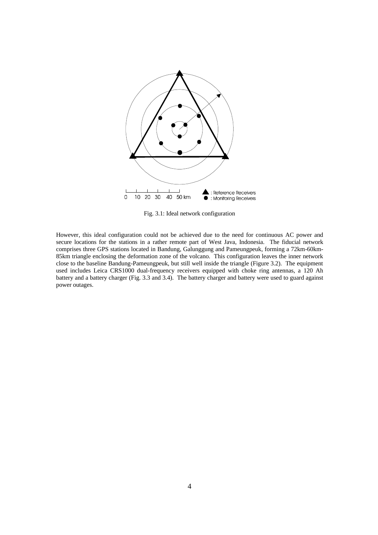

Fig. 3.1: Ideal network configuration

However, this ideal configuration could not be achieved due to the need for continuous AC power and secure locations for the stations in a rather remote part of West Java, Indonesia. The fiducial network comprises three GPS stations located in Bandung, Galunggung and Pameungpeuk, forming a 72km-60km-85km triangle enclosing the deformation zone of the volcano. This configuration leaves the inner network close to the baseline Bandung-Pameungpeuk, but still well inside the triangle (Figure 3.2). The equipment used includes Leica CRS1000 dual-frequency receivers equipped with choke ring antennas, a 120 Ah battery and a battery charger (Fig. 3.3 and 3.4). The battery charger and battery were used to guard against power outages.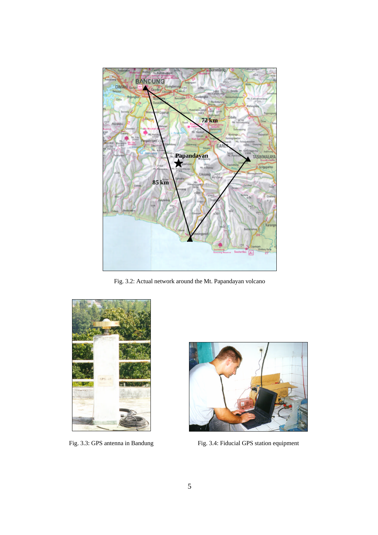

Fig. 3.2: Actual network around the Mt. Papandayan volcano





Fig. 3.3: GPS antenna in Bandung Fig. 3.4: Fiducial GPS station equipment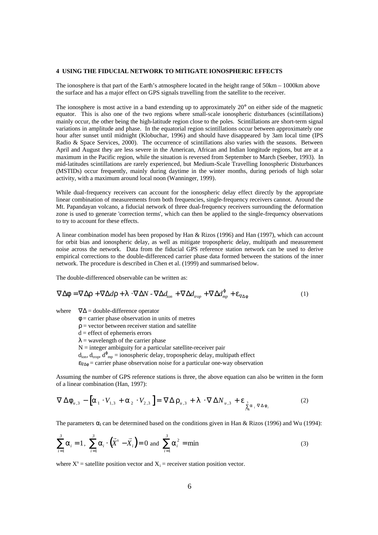#### **4 USING THE FIDUCIAL NETWORK TO MITIGATE IONOSPHERIC EFFECTS**

The ionosphere is that part of the Earth's atmosphere located in the height range of 50km – 1000km above the surface and has a major effect on GPS signals travelling from the satellite to the receiver.

The ionosphere is most active in a band extending up to approximately  $20^{\circ}$  on either side of the magnetic equator. This is also one of the two regions where small-scale ionospheric disturbances (scintillations) mainly occur, the other being the high-latitude region close to the poles. Scintillations are short-term signal variations in amplitude and phase. In the equatorial region scintillations occur between approximately one hour after sunset until midnight (Klobuchar, 1996) and should have disappeared by 3am local time (IPS Radio & Space Services, 2000). The occurrence of scintillations also varies with the seasons. Between April and August they are less severe in the American, African and Indian longitude regions, but are at a maximum in the Pacific region, while the situation is reversed from September to March (Seeber, 1993). In mid-latitudes scintillations are rarely experienced, but Medium-Scale Travelling Ionospheric Disturbances (MSTIDs) occur frequently, mainly during daytime in the winter months, during periods of high solar activity, with a maximum around local noon (Wanninger, 1999).

While dual-frequency receivers can account for the ionospheric delay effect directly by the appropriate linear combination of measurements from both frequencies, single-frequency receivers cannot. Around the Mt. Papandayan volcano, a fiducial network of three dual-frequency receivers surrounding the deformation zone is used to generate 'correction terms', which can then be applied to the single-frequency observations to try to account for these effects.

A linear combination model has been proposed by Han & Rizos (1996) and Han (1997), which can account for orbit bias and ionospheric delay, as well as mitigate tropospheric delay, multipath and measurement noise across the network. Data from the fiducial GPS reference station network can be used to derive empirical corrections to the double-differenced carrier phase data formed between the stations of the inner network. The procedure is described in Chen et al. (1999) and summarised below.

The double-differenced observable can be written as:

$$
\nabla \Delta \mathbf{f} = \nabla \Delta \mathbf{r} + \nabla \Delta d \mathbf{r} + \mathbf{I} \cdot \nabla \Delta N - \nabla \Delta d_{\text{ion}} + \nabla \Delta d_{\text{trop}} + \nabla \Delta d_{\text{mp}} + \mathbf{e}_{\nabla \Delta \mathbf{f}}
$$
(1)

where  $\nabla \Delta =$  double-difference operator

- $\phi$  = carrier phase observation in units of metres
- $\rho$  = vector between receiver station and satellite
- $d =$  effect of ephemeris errors
- $\lambda$  = wavelength of the carrier phase
- $N =$  integer ambiguity for a particular satellite-receiver pair
- $d_{\text{ion}}$ ,  $d_{\text{trop}}$ ,  $d_{\text{mp}}^{\varphi}$  = ionospheric delay, tropospheric delay, multipath effect

 $\epsilon_{\nabla\Delta\phi}$  = carrier phase observation noise for a particular one-way observation

Assuming the number of GPS reference stations is three, the above equation can also be written in the form of a linear combination (Han, 1997):

$$
\nabla \Delta \mathbf{f}_{u,3} - \left[\mathbf{a}_1 \cdot V_{1,3} + \mathbf{a}_2 \cdot V_{2,3}\right] = \nabla \Delta \mathbf{r}_{u,3} + \mathbf{I} \cdot \nabla \Delta N_{u,3} + \mathbf{e}_{\sum\limits_{i=1}^{5} \mathbf{a}_i \cdot \nabla \Delta \mathbf{f}_i}
$$
 (2)

The parameters  $\alpha_{I}$  can be determined based on the conditions given in Han & Rizos (1996) and Wu (1994):

$$
\sum_{i=1}^{3} a_i = 1, \ \sum_{i=1}^{3} a_i \cdot (\vec{X}^s - \vec{X}_i) = 0 \text{ and } \sum_{i=1}^{3} a_i^2 = \min
$$
 (3)

where  $X^s$  = satellite position vector and  $X_i$  = receiver station position vector.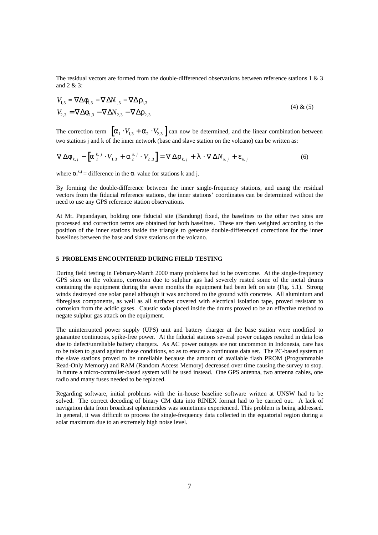The residual vectors are formed from the double-differenced observations between reference stations 1 & 3 and 2 & 3:

$$
V_{1,3} = \nabla \Delta \mathbf{f}_{1,3} - \nabla \Delta N_{1,3} - \nabla \Delta \mathbf{r}_{1,3}
$$
  
\n
$$
V_{2,3} = \nabla \Delta \mathbf{f}_{2,3} - \nabla \Delta N_{2,3} - \nabla \Delta \mathbf{r}_{2,3}
$$
\n(4) & (5)

The correction term  $\left[a_1 \cdot V_{1,3} + a_2 \cdot V_{2,3}\right]$  can now be determined, and the linear combination between two stations j and k of the inner network (base and slave station on the volcano) can be written as:

$$
\nabla \Delta \mathbf{f}_{k,j} - \left[ \mathbf{a}_{1}^{k,j} \cdot V_{1,3} + \mathbf{a}_{2}^{k,j} \cdot V_{2,3} \right] = \nabla \Delta \mathbf{r}_{k,j} + \mathbf{I} \cdot \nabla \Delta N_{k,j} + \mathbf{e}_{k,j}
$$
(6)

where  $\alpha_i^{k,j}$  = difference in the  $\alpha_i$  value for stations k and j.

By forming the double-difference between the inner single-frequency stations, and using the residual vectors from the fiducial reference stations, the inner stations' coordinates can be determined without the need to use any GPS reference station observations.

At Mt. Papandayan, holding one fiducial site (Bandung) fixed, the baselines to the other two sites are processed and correction terms are obtained for both baselines. These are then weighted according to the position of the inner stations inside the triangle to generate double-differenced corrections for the inner baselines between the base and slave stations on the volcano.

### **5 PROBLEMS ENCOUNTERED DURING FIELD TESTING**

During field testing in February-March 2000 many problems had to be overcome. At the single-frequency GPS sites on the volcano, corrosion due to sulphur gas had severely rusted some of the metal drums containing the equipment during the seven months the equipment had been left on site (Fig. 5.1). Strong winds destroyed one solar panel although it was anchored to the ground with concrete. All aluminium and fibreglass components, as well as all surfaces covered with electrical isolation tape, proved resistant to corrosion from the acidic gases. Caustic soda placed inside the drums proved to be an effective method to negate sulphur gas attack on the equipment.

The uninterrupted power supply (UPS) unit and battery charger at the base station were modified to guarantee continuous, spike-free power. At the fiducial stations several power outages resulted in data loss due to defect/unreliable battery chargers. As AC power outages are not uncommon in Indonesia, care has to be taken to guard against these conditions, so as to ensure a continuous data set. The PC-based system at the slave stations proved to be unreliable because the amount of available flash PROM (Programmable Read-Only Memory) and RAM (Random Access Memory) decreased over time causing the survey to stop. In future a micro-controller-based system will be used instead. One GPS antenna, two antenna cables, one radio and many fuses needed to be replaced.

Regarding software, initial problems with the in-house baseline software written at UNSW had to be solved. The correct decoding of binary CM data into RINEX format had to be carried out. A lack of navigation data from broadcast ephemerides was sometimes experienced. This problem is being addressed. In general, it was difficult to process the single-frequency data collected in the equatorial region during a solar maximum due to an extremely high noise level.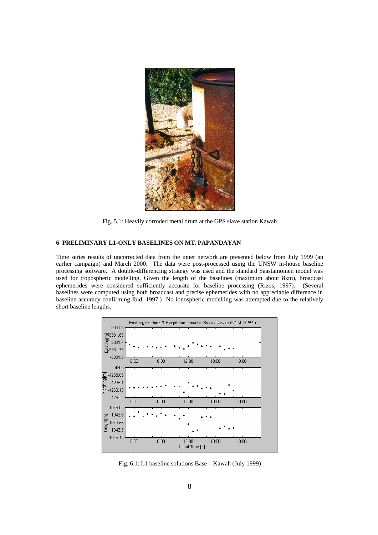

Fig. 5.1: Heavily corroded metal drum at the GPS slave station Kawah

# **6 PRELIMINARY L1-ONLY BASELINES ON MT. PAPANDAYAN**

Time series results of uncorrected data from the inner network are presented below from July 1999 (an earlier campaign) and March 2000. The data were post-processed using the UNSW in-house baseline processing software. A double-differencing strategy was used and the standard Saastamoinen model was used for tropospheric modelling. Given the length of the baselines (maximum about 8km), broadcast ephemerides were considered sufficiently accurate for baseline processing (Rizos, 1997). (Several baselines were computed using both broadcast and precise ephemerides with no appreciable difference in baseline accuracy confirming Ibid, 1997.) No ionospheric modelling was attempted due to the relatively short baseline lengths.



Fig. 6.1: L1 baseline solutions Base – Kawah (July 1999)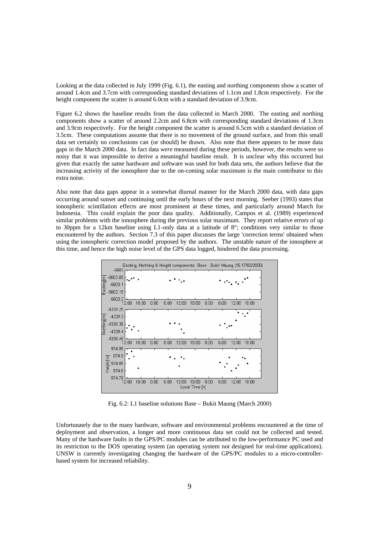Looking at the data collected in July 1999 (Fig. 6.1), the easting and northing components show a scatter of around 1.4cm and 3.7cm with corresponding standard deviations of 1.1cm and 1.8cm respectively. For the height component the scatter is around 6.0cm with a standard deviation of 3.9cm.

Figure 6.2 shows the baseline results from the data collected in March 2000. The easting and northing components show a scatter of around 2.2cm and 6.8cm with corresponding standard deviations of 1.3cm and 3.9cm respectively. For the height component the scatter is around 6.5cm with a standard deviation of 3.5cm. These computations assume that there is no movement of the ground surface, and from this small data set certainly no conclusions can (or should) be drawn. Also note that there appears to be more data gaps in the March 2000 data. In fact data *were* measured during these periods, however, the results were so noisy that it was impossible to derive a meaningful baseline result. It is unclear why this occurred but given that exactly the same hardware and software was used for both data sets, the authors believe that the increasing activity of the ionosphere due to the on-coming solar maximum is the main contributor to this extra noise.

Also note that data gaps appear in a somewhat diurnal manner for the March 2000 data, with data gaps occurring around sunset and continuing until the early hours of the next morning. Seeber (1993) states that ionospheric scintillation effects are most prominent at these times, and particularly around March for Indonesia. This could explain the poor data quality. Additionally, Campos et al. (1989) experienced similar problems with the ionosphere during the previous solar maximum. They report relative errors of up to 30ppm for a 12km baseline using L1-only data at a latitude of 8°; conditions very similar to those encountered by the authors. Section 7.3 of this paper discusses the large 'correction terms' obtained when using the ionospheric correction model proposed by the authors. The unstable nature of the ionosphere at this time, and hence the high noise level of the GPS data logged, hindered the data processing.



Fig. 6.2: L1 baseline solutions Base – Bukit Maung (March 2000)

Unfortunately due to the many hardware, software and environmental problems encountered at the time of deployment and observation, a longer and more continuous data set could not be collected and tested. Many of the hardware faults in the GPS/PC modules can be attributed to the low-performance PC used and its restriction to the DOS operating system (an operating system not designed for real-time applications). UNSW is currently investigating changing the hardware of the GPS/PC modules to a micro-controllerbased system for increased reliability.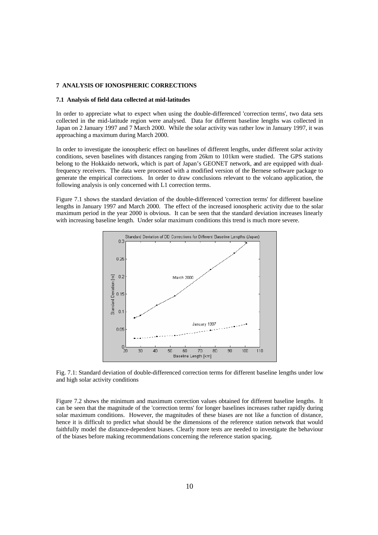### **7 ANALYSIS OF IONOSPHERIC CORRECTIONS**

### **7.1 Analysis of field data collected at mid-latitudes**

In order to appreciate what to expect when using the double-differenced 'correction terms', two data sets collected in the mid-latitude region were analysed. Data for different baseline lengths was collected in Japan on 2 January 1997 and 7 March 2000. While the solar activity was rather low in January 1997, it was approaching a maximum during March 2000.

In order to investigate the ionospheric effect on baselines of different lengths, under different solar activity conditions, seven baselines with distances ranging from 26km to 101km were studied. The GPS stations belong to the Hokkaido network, which is part of Japan's GEONET network, and are equipped with dualfrequency receivers. The data were processed with a modified version of the Bernese software package to generate the empirical corrections. In order to draw conclusions relevant to the volcano application, the following analysis is only concerned with L1 correction terms.

Figure 7.1 shows the standard deviation of the double-differenced 'correction terms' for different baseline lengths in January 1997 and March 2000. The effect of the increased ionospheric activity due to the solar maximum period in the year 2000 is obvious. It can be seen that the standard deviation increases linearly with increasing baseline length. Under solar maximum conditions this trend is much more severe.



Fig. 7.1: Standard deviation of double-differenced correction terms for different baseline lengths under low and high solar activity conditions

Figure 7.2 shows the minimum and maximum correction values obtained for different baseline lengths. It can be seen that the magnitude of the 'correction terms' for longer baselines increases rather rapidly during solar maximum conditions. However, the magnitudes of these biases are not like a function of distance, hence it is difficult to predict what should be the dimensions of the reference station network that would faithfully model the distance-dependent biases. Clearly more tests are needed to investigate the behaviour of the biases before making recommendations concerning the reference station spacing.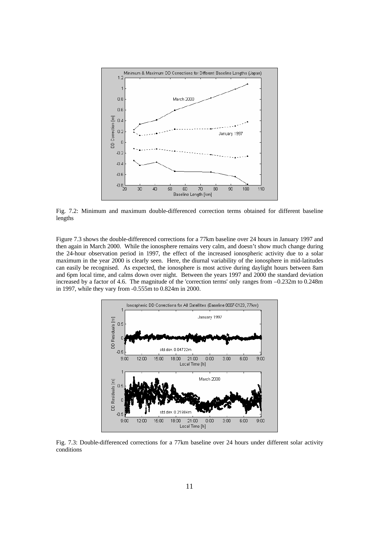

Fig. 7.2: Minimum and maximum double-differenced correction terms obtained for different baseline lengths

Figure 7.3 shows the double-differenced corrections for a 77km baseline over 24 hours in January 1997 and then again in March 2000. While the ionosphere remains very calm, and doesn't show much change during the 24-hour observation period in 1997, the effect of the increased ionospheric activity due to a solar maximum in the year 2000 is clearly seen. Here, the diurnal variability of the ionosphere in mid-latitudes can easily be recognised. As expected, the ionosphere is most active during daylight hours between 8am and 6pm local time, and calms down over night. Between the years 1997 and 2000 the standard deviation increased by a factor of 4.6. The magnitude of the 'correction terms' only ranges from –0.232m to 0.248m in 1997, while they vary from -0.555m to 0.824m in 2000.



Fig. 7.3: Double-differenced corrections for a 77km baseline over 24 hours under different solar activity conditions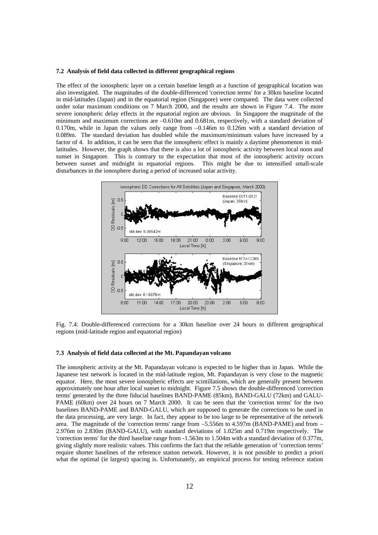#### **7.2 Analysis of field data collected in different geographical regions**

The effect of the ionospheric layer on a certain baseline length as a function of geographical location was also investigated. The magnitudes of the double-differenced 'correction terms' for a 30km baseline located in mid-latitudes (Japan) and in the equatorial region (Singapore) were compared. The data were collected under solar maximum conditions on 7 March 2000, and the results are shown in Figure 7.4. The more severe ionospheric delay effects in the equatorial region are obvious. In Singapore the magnitude of the minimum and maximum corrections are –0.610m and 0.681m, respectively, with a standard deviation of 0.170m, while in Japan the values only range from  $-0.146m$  to 0.126m with a standard deviation of 0.089m. The standard deviation has doubled while the maximum/minimum values have increased by a factor of 4. In addition, it can be seen that the ionospheric effect is mainly a daytime phenomenon in midlatitudes. However, the graph shows that there is also a lot of ionospheric activity between local noon and sunset in Singapore. This is contrary to the expectation that most of the ionospheric activity occurs between sunset and midnight in equatorial regions. This might be due to intensified small-scale disturbances in the ionosphere during a period of increased solar activity.



Fig. 7.4: Double-differenced corrections for a 30km baseline over 24 hours in different geographical regions (mid-latitude region and equatorial region)

#### **7.3 Analysis of field data collected at the Mt. Papandayan volcano**

The ionospheric activity at the Mt. Papandayan volcano is expected to be higher than in Japan. While the Japanese test network is located in the mid-latitude region, Mt. Papandayan is very close to the magnetic equator. Here, the most severe ionospheric effects are scintillations, which are generally present between approximately one hour after local sunset to midnight. Figure 7.5 shows the double-differenced 'correction terms' generated by the three fiducial baselines BAND-PAME (85km), BAND-GALU (72km) and GALU-PAME (60km) over 24 hours on 7 March 2000. It can be seen that the 'correction terms' for the two baselines BAND-PAME and BAND-GALU, which are supposed to generate the corrections to be used in the data processing, are very large. In fact, they appear to be too large to be representative of the network area. The magnitude of the 'correction terms' range from –5.556m to 4.597m (BAND-PAME) and from – 2.976m to 2.830m (BAND-GALU), with standard deviations of 1.025m and 0.719m respectively. The 'correction terms' for the third baseline range from -1.563m to 1.504m with a standard deviation of 0.377m, giving slightly more realistic values. This confirms the fact that the reliable generation of 'correction terms' require shorter baselines of the reference station network. However, it is not possible to predict a priori what the optimal (ie largest) spacing is. Unfortunately, an empirical process for testing reference station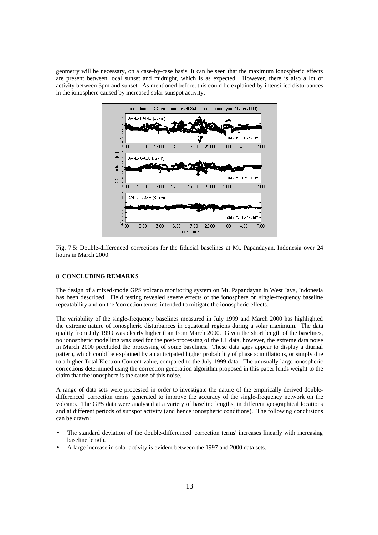geometry will be necessary, on a case-by-case basis. It can be seen that the maximum ionospheric effects are present between local sunset and midnight, which is as expected. However, there is also a lot of activity between 3pm and sunset. As mentioned before, this could be explained by intensified disturbances in the ionosphere caused by increased solar sunspot activity.



Fig. 7.5: Double-differenced corrections for the fiducial baselines at Mt. Papandayan, Indonesia over 24 hours in March 2000.

### **8 CONCLUDING REMARKS**

The design of a mixed-mode GPS volcano monitoring system on Mt. Papandayan in West Java, Indonesia has been described. Field testing revealed severe effects of the ionosphere on single-frequency baseline repeatability and on the 'correction terms' intended to mitigate the ionospheric effects.

The variability of the single-frequency baselines measured in July 1999 and March 2000 has highlighted the extreme nature of ionospheric disturbances in equatorial regions during a solar maximum. The data quality from July 1999 was clearly higher than from March 2000. Given the short length of the baselines, no ionospheric modelling was used for the post-processing of the L1 data, however, the extreme data noise in March 2000 precluded the processing of some baselines. These data gaps appear to display a diurnal pattern, which could be explained by an anticipated higher probability of phase scintillations, or simply due to a higher Total Electron Content value, compared to the July 1999 data. The unusually large ionospheric corrections determined using the correction generation algorithm proposed in this paper lends weight to the claim that the ionosphere is the cause of this noise.

A range of data sets were processed in order to investigate the nature of the empirically derived doubledifferenced 'correction terms' generated to improve the accuracy of the single-frequency network on the volcano. The GPS data were analysed at a variety of baseline lengths, in different geographical locations and at different periods of sunspot activity (and hence ionospheric conditions). The following conclusions can be drawn:

- The standard deviation of the double-differenced 'correction terms' increases linearly with increasing baseline length.
- A large increase in solar activity is evident between the 1997 and 2000 data sets.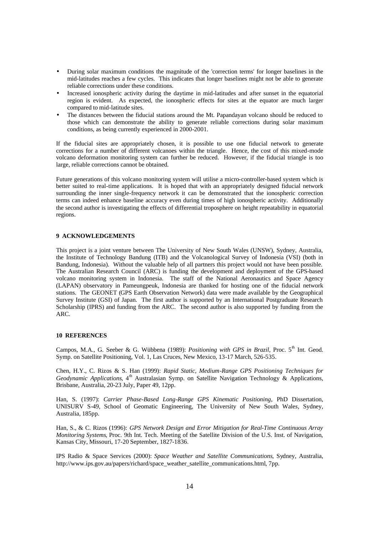- During solar maximum conditions the magnitude of the 'correction terms' for longer baselines in the mid-latitudes reaches a few cycles. This indicates that longer baselines might not be able to generate reliable corrections under these conditions.
- Increased ionospheric activity during the daytime in mid-latitudes and after sunset in the equatorial region is evident. As expected, the ionospheric effects for sites at the equator are much larger compared to mid-latitude sites.
- The distances between the fiducial stations around the Mt. Papandayan volcano should be reduced to those which can demonstrate the ability to generate reliable corrections during solar maximum conditions, as being currently experienced in 2000-2001.

If the fiducial sites are appropriately chosen, it is possible to use one fiducial network to generate corrections for a number of different volcanoes within the triangle. Hence, the cost of this mixed-mode volcano deformation monitoring system can further be reduced. However, if the fiducial triangle is too large, reliable corrections cannot be obtained.

Future generations of this volcano monitoring system will utilise a micro-controller-based system which is better suited to real-time applications. It is hoped that with an appropriately designed fiducial network surrounding the inner single-frequency network it can be demonstrated that the ionospheric correction terms can indeed enhance baseline accuracy even during times of high ionospheric activity. Additionally the second author is investigating the effects of differential troposphere on height repeatability in equatorial regions.

# **9 ACKNOWLEDGEMENTS**

This project is a joint venture between The University of New South Wales (UNSW), Sydney, Australia, the Institute of Technology Bandung (ITB) and the Volcanological Survey of Indonesia (VSI) (both in Bandung, Indonesia). Without the valuable help of all partners this project would not have been possible. The Australian Research Council (ARC) is funding the development and deployment of the GPS-based volcano monitoring system in Indonesia. The staff of the National Aeronautics and Space Agency (LAPAN) observatory in Pameungpeuk, Indonesia are thanked for hosting one of the fiducial network stations. The GEONET (GPS Earth Observation Network) data were made available by the Geographical Survey Institute (GSI) of Japan. The first author is supported by an International Postgraduate Research Scholarship (IPRS) and funding from the ARC. The second author is also supported by funding from the ARC.

### **10 REFERENCES**

Campos, M.A., G. Seeber & G. Wübbena (1989): *Positioning with GPS in Brazil*, Proc. 5<sup>th</sup> Int. Geod. Symp. on Satellite Positioning, Vol. 1, Las Cruces, New Mexico, 13-17 March, 526-535.

Chen, H.Y., C. Rizos & S. Han (1999): *Rapid Static, Medium-Range GPS Positioning Techniques for* Geodynamic Applications, 4<sup>th</sup> Australasian Symp. on Satellite Navigation Technology & Applications, Brisbane, Australia, 20-23 July, Paper 49, 12pp.

Han, S. (1997): *Carrier Phase-Based Long-Range GPS Kinematic Positioning*, PhD Dissertation, UNISURV S-49, School of Geomatic Engineering, The University of New South Wale*s*, Sydney, Australia, 185pp.

Han, S., & C. Rizos (1996): *GPS Network Design and Error Mitigation for Real-Time Continuous Array Monitoring Systems*, Proc. 9th Int. Tech. Meeting of the Satellite Division of the U.S. Inst. of Navigation, Kansas City, Missouri, 17-20 September, 1827-1836.

IPS Radio & Space Services (2000): *Space Weather and Satellite Communications*, Sydney, Australia, http://www.ips.gov.au/papers/richard/space\_weather\_satellite\_communications.html, 7pp.